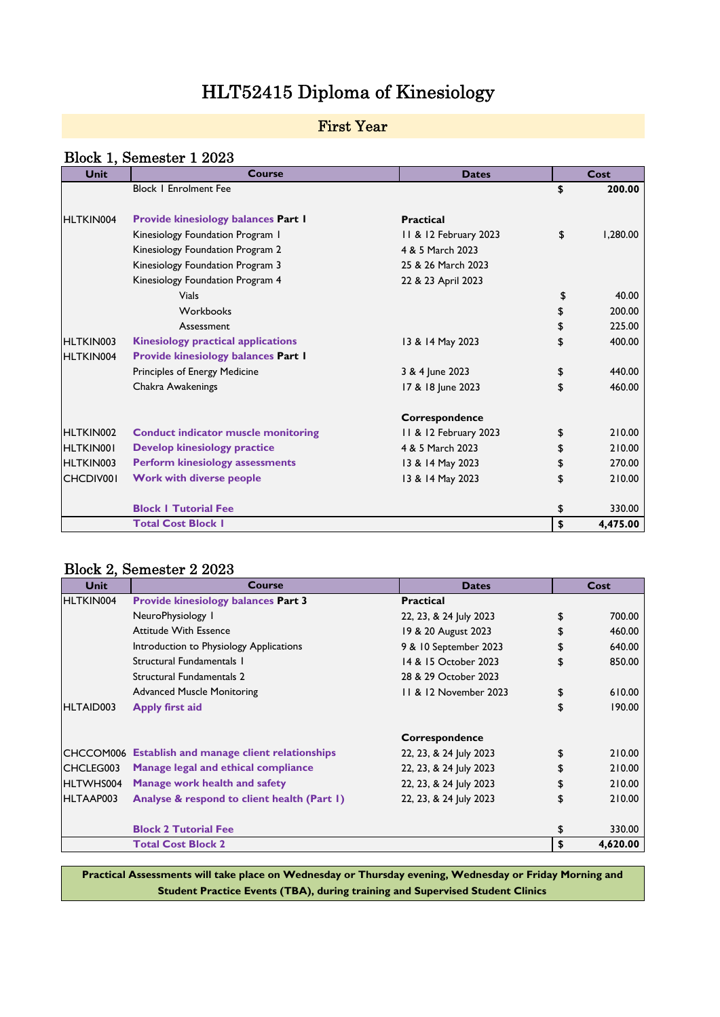# HLT52415 Diploma of Kinesiology

### First Year

### Block 1, Semester 1 2023

| <b>Unit</b> | Course                                     | <b>Dates</b>          | Cost           |
|-------------|--------------------------------------------|-----------------------|----------------|
|             | <b>Block   Enrolment Fee</b>               |                       | \$<br>200.00   |
|             |                                            |                       |                |
| HLTKIN004   | <b>Provide kinesiology balances Part I</b> | <b>Practical</b>      |                |
|             | Kinesiology Foundation Program I           | 11 & 12 February 2023 | \$<br>1.280.00 |
|             | Kinesiology Foundation Program 2           | 4 & 5 March 2023      |                |
|             | Kinesiology Foundation Program 3           | 25 & 26 March 2023    |                |
|             | Kinesiology Foundation Program 4           | 22 & 23 April 2023    |                |
|             | <b>Vials</b>                               |                       | \$<br>40.00    |
|             | Workbooks                                  |                       | \$<br>200.00   |
|             | Assessment                                 |                       | \$<br>225.00   |
| HLTKIN003   | <b>Kinesiology practical applications</b>  | 13 & 14 May 2023      | \$<br>400.00   |
| HLTKIN004   | <b>Provide kinesiology balances Part I</b> |                       |                |
|             | Principles of Energy Medicine              | 3 & 4 June 2023       | \$<br>440.00   |
|             | Chakra Awakenings                          | 17 & 18 June 2023     | \$<br>460.00   |
|             |                                            | Correspondence        |                |
| HLTKIN002   | <b>Conduct indicator muscle monitoring</b> | 11 & 12 February 2023 | \$<br>210.00   |
| HLTKIN001   | <b>Develop kinesiology practice</b>        | 4 & 5 March 2023      | \$<br>210.00   |
| HLTKIN003   | <b>Perform kinesiology assessments</b>     | 13 & 14 May 2023      | \$<br>270.00   |
| CHCDIV001   | <b>Work with diverse people</b>            | 13 & 14 May 2023      | \$<br>210.00   |
|             | <b>Block   Tutorial Fee</b>                |                       | \$<br>330.00   |
|             | <b>Total Cost Block I</b>                  |                       | \$<br>4,475.00 |

#### Block 2, Semester 2 2023

| <b>Unit</b> | Course                                                     | <b>Dates</b>           | Cost           |
|-------------|------------------------------------------------------------|------------------------|----------------|
| HLTKIN004   | <b>Provide kinesiology balances Part 3</b>                 | <b>Practical</b>       |                |
|             | NeuroPhysiology I                                          | 22, 23, & 24 July 2023 | \$<br>700.00   |
|             | Attitude With Essence                                      | 19 & 20 August 2023    | \$<br>460.00   |
|             | Introduction to Physiology Applications                    | 9 & 10 September 2023  | \$<br>640.00   |
|             | Structural Fundamentals 1                                  | 14 & 15 October 2023   | \$<br>850.00   |
|             | Structural Fundamentals 2                                  | 28 & 29 October 2023   |                |
|             | <b>Advanced Muscle Monitoring</b>                          | 11 & 12 November 2023  | \$<br>610.00   |
| HLTAID003   | Apply first aid                                            |                        | \$<br>190.00   |
|             |                                                            | Correspondence         |                |
|             | <b>CHCCOM006</b> Establish and manage client relationships | 22, 23, & 24 July 2023 | \$<br>210.00   |
| CHCLEG003   | Manage legal and ethical compliance                        | 22, 23, & 24 July 2023 | \$<br>210.00   |
| HLTWHS004   | Manage work health and safety                              | 22, 23, & 24 July 2023 | \$<br>210.00   |
| HLTAAP003   | Analyse & respond to client health (Part 1)                | 22, 23, & 24 July 2023 | \$<br>210.00   |
|             | <b>Block 2 Tutorial Fee</b>                                |                        | \$<br>330.00   |
|             | <b>Total Cost Block 2</b>                                  |                        | \$<br>4,620.00 |

**Practical Assessments will take place on Wednesday or Thursday evening, Wednesday or Friday Morning and Student Practice Events (TBA), during training and Supervised Student Clinics**